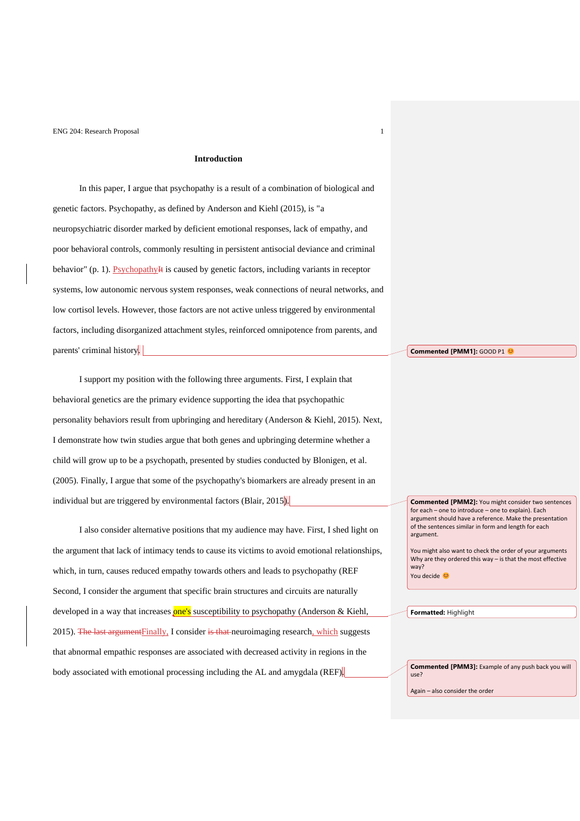# **Introduction**

In this paper, I argue that psychopathy is a result of a combination of biological and genetic factors. Psychopathy, as defined by Anderson and Kiehl (2015), is "a neuropsychiatric disorder marked by deficient emotional responses, lack of empathy, and poor behavioral controls, commonly resulting in persistent antisocial deviance and criminal behavior" (p. 1). Psychopathy<sup>II</sup>t is caused by genetic factors, including variants in receptor systems, low autonomic nervous system responses, weak connections of neural networks, and low cortisol levels. However, those factors are not active unless triggered by environmental factors, including disorganized attachment styles, reinforced omnipotence from parents, and parents' criminal history.

I support my position with the following three arguments. First, I explain that behavioral genetics are the primary evidence supporting the idea that psychopathic personality behaviors result from upbringing and hereditary (Anderson & Kiehl, 2015). Next, I demonstrate how twin studies argue that both genes and upbringing determine whether a child will grow up to be a psychopath, presented by studies conducted by Blonigen, et al. (2005). Finally, I argue that some of the psychopathy's biomarkers are already present in an individual but are triggered by environmental factors (Blair, 2015).

I also consider alternative positions that my audience may have. First, I shed light on the argument that lack of intimacy tends to cause its victims to avoid emotional relationships, which, in turn, causes reduced empathy towards others and leads to psychopathy (REF Second, I consider the argument that specific brain structures and circuits are naturally developed in a way that increases one's susceptibility to psychopathy (Anderson & Kiehl, 2015). The last argument Finally, I consider is that neuroimaging research, which suggests that abnormal empathic responses are associated with decreased activity in regions in the body associated with emotional processing including the AL and amygdala (REF).

**Commented [PMM1]: GOOD P1 @** 

**Commented [PMM2]:** You might consider two sentences for each – one to introduce – one to explain). Each argument should have a reference. Make the presentation of the sentences similar in form and length for each argument.

You might also want to check the order of your arguments Why are they ordered this way – is that the most effective way? You decide

**Formatted:** Highlight

**Commented [PMM3]:** Example of any push back you will use?

Again – also consider the order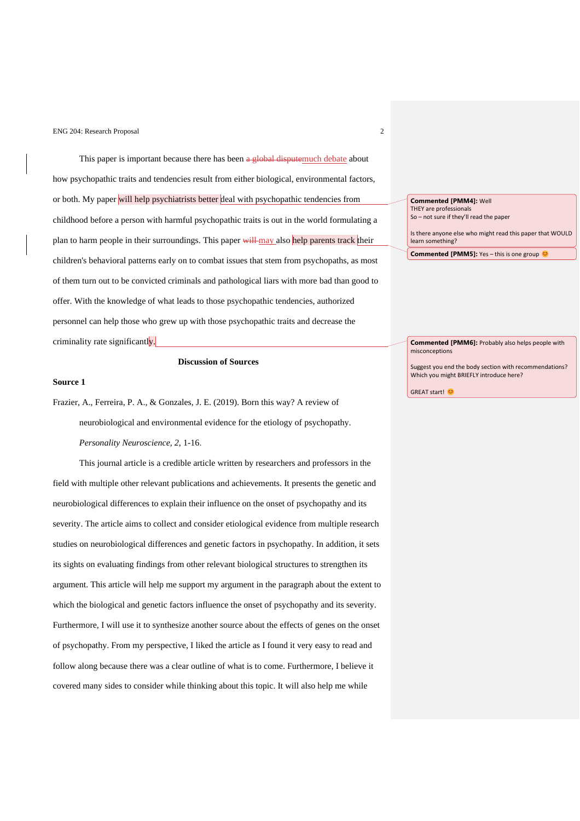This paper is important because there has been a global disputemuch debate about how psychopathic traits and tendencies result from either biological, environmental factors, or both. My paper will help psychiatrists better deal with psychopathic tendencies from childhood before a person with harmful psychopathic traits is out in the world formulating a plan to harm people in their surroundings. This paper will may also help parents track their children's behavioral patterns early on to combat issues that stem from psychopaths, as most of them turn out to be convicted criminals and pathological liars with more bad than good to offer. With the knowledge of what leads to those psychopathic tendencies, authorized personnel can help those who grew up with those psychopathic traits and decrease the criminality rate significantly.

# **Discussion of Sources**

#### **Source 1**

Frazier, A., Ferreira, P. A., & Gonzales, J. E. (2019). Born this way? A review of neurobiological and environmental evidence for the etiology of psychopathy. *Personality Neuroscience, 2*, 1-16.

This journal article is a credible article written by researchers and professors in the field with multiple other relevant publications and achievements. It presents the genetic and neurobiological differences to explain their influence on the onset of psychopathy and its severity. The article aims to collect and consider etiological evidence from multiple research studies on neurobiological differences and genetic factors in psychopathy. In addition, it sets its sights on evaluating findings from other relevant biological structures to strengthen its argument. This article will help me support my argument in the paragraph about the extent to which the biological and genetic factors influence the onset of psychopathy and its severity. Furthermore, I will use it to synthesize another source about the effects of genes on the onset of psychopathy. From my perspective, I liked the article as I found it very easy to read and follow along because there was a clear outline of what is to come. Furthermore, I believe it covered many sides to consider while thinking about this topic. It will also help me while

**Commented [PMM4]:** Well THEY are professionals So – not sure if they'll read the paper

Is there anyone else who might read this paper that WOULD

learn something?

**Commented [PMM5]:** Yes – this is one group

**Commented [PMM6]:** Probably also helps people with misconceptions

Suggest you end the body section with recommendations? Which you might BRIEFLY introduce here?

GREAT start! €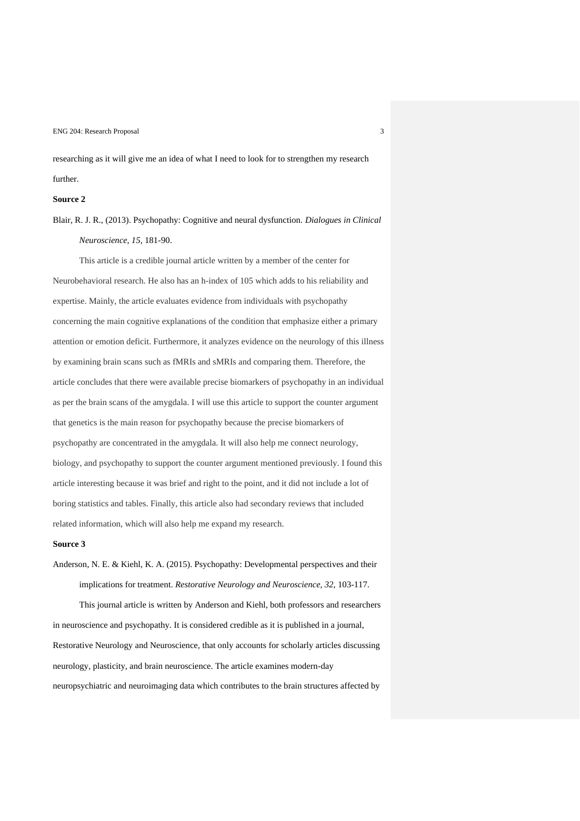researching as it will give me an idea of what I need to look for to strengthen my research further.

#### **Source 2**

Blair, R. J. R., (2013). Psychopathy: Cognitive and neural dysfunction. *Dialogues in Clinical Neuroscience, 15*, 181-90.

This article is a credible journal article written by a member of the center for Neurobehavioral research. He also has an h-index of 105 which adds to his reliability and expertise. Mainly, the article evaluates evidence from individuals with psychopathy concerning the main cognitive explanations of the condition that emphasize either a primary attention or emotion deficit. Furthermore, it analyzes evidence on the neurology of this illness by examining brain scans such as fMRIs and sMRIs and comparing them. Therefore, the article concludes that there were available precise biomarkers of psychopathy in an individual as per the brain scans of the amygdala. I will use this article to support the counter argument that genetics is the main reason for psychopathy because the precise biomarkers of psychopathy are concentrated in the amygdala. It will also help me connect neurology, biology, and psychopathy to support the counter argument mentioned previously. I found this article interesting because it was brief and right to the point, and it did not include a lot of boring statistics and tables. Finally, this article also had secondary reviews that included related information, which will also help me expand my research.

#### **Source 3**

Anderson, N. E. & Kiehl, K. A. (2015). Psychopathy: Developmental perspectives and their implications for treatment. *Restorative Neurology and Neuroscience, 32*, 103-117.

This journal article is written by Anderson and Kiehl, both professors and researchers in neuroscience and psychopathy. It is considered credible as it is published in a journal, Restorative Neurology and Neuroscience, that only accounts for scholarly articles discussing neurology, plasticity, and brain neuroscience. The article examines modern-day neuropsychiatric and neuroimaging data which contributes to the brain structures affected by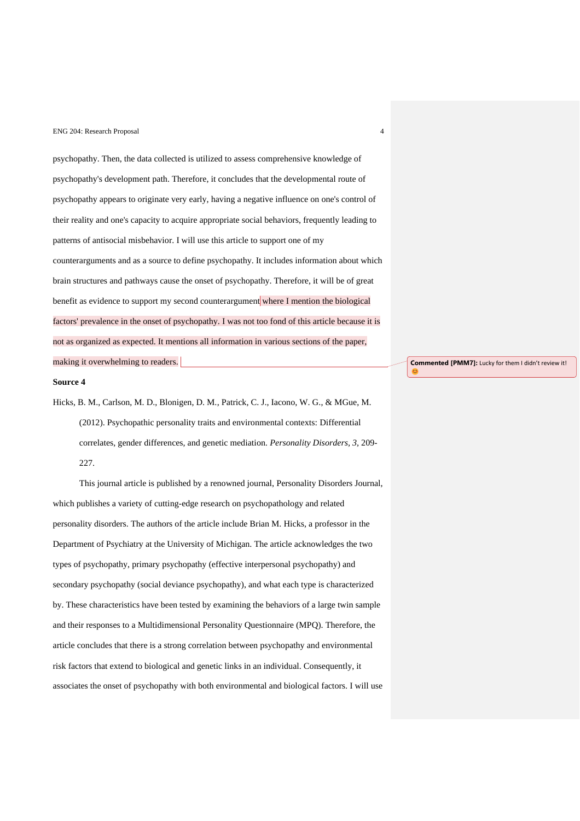psychopathy. Then, the data collected is utilized to assess comprehensive knowledge of psychopathy's development path. Therefore, it concludes that the developmental route of psychopathy appears to originate very early, having a negative influence on one's control of their reality and one's capacity to acquire appropriate social behaviors, frequently leading to patterns of antisocial misbehavior. I will use this article to support one of my counterarguments and as a source to define psychopathy. It includes information about which brain structures and pathways cause the onset of psychopathy. Therefore, it will be of great benefit as evidence to support my second counterargument where I mention the biological factors' prevalence in the onset of psychopathy. I was not too fond of this article because it is not as organized as expected. It mentions all information in various sections of the paper, making it overwhelming to readers.

#### **Source 4**

Hicks, B. M., Carlson, M. D., Blonigen, D. M., Patrick, C. J., Iacono, W. G., & MGue, M. (2012). Psychopathic personality traits and environmental contexts: Differential correlates, gender differences, and genetic mediation*. Personality Disorders, 3,* 209- 227.

This journal article is published by a renowned journal, Personality Disorders Journal, which publishes a variety of cutting-edge research on psychopathology and related personality disorders. The authors of the article include Brian M. Hicks, a professor in the Department of Psychiatry at the University of Michigan. The article acknowledges the two types of psychopathy, primary psychopathy (effective interpersonal psychopathy) and secondary psychopathy (social deviance psychopathy), and what each type is characterized by. These characteristics have been tested by examining the behaviors of a large twin sample and their responses to a Multidimensional Personality Questionnaire (MPQ). Therefore, the article concludes that there is a strong correlation between psychopathy and environmental risk factors that extend to biological and genetic links in an individual. Consequently, it associates the onset of psychopathy with both environmental and biological factors. I will use **Commented [PMM7]:** Lucky for them I didn't review it!

C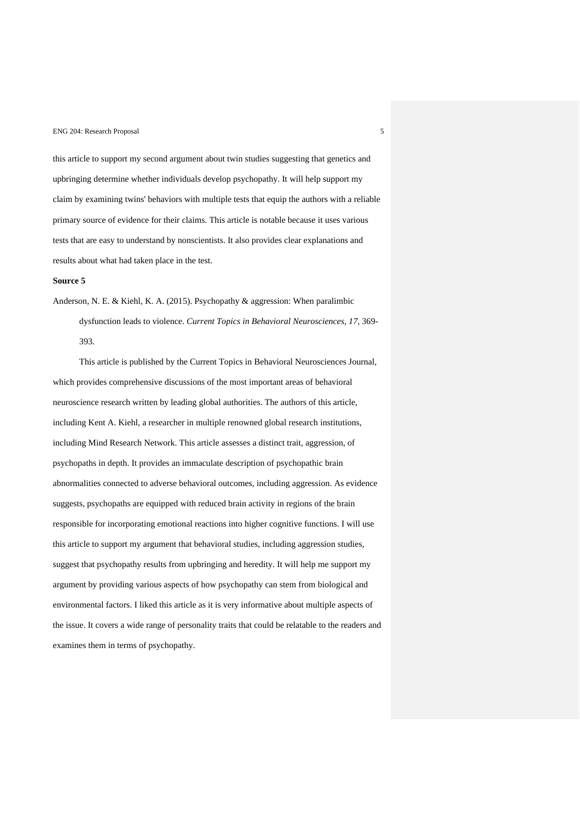this article to support my second argument about twin studies suggesting that genetics and upbringing determine whether individuals develop psychopathy. It will help support my claim by examining twins' behaviors with multiple tests that equip the authors with a reliable primary source of evidence for their claims. This article is notable because it uses various tests that are easy to understand by nonscientists. It also provides clear explanations and results about what had taken place in the test.

#### **Source 5**

Anderson, N. E. & Kiehl, K. A. (2015). Psychopathy & aggression: When paralimbic dysfunction leads to violence. *Current Topics in Behavioral Neurosciences, 17,* 369- 393.

This article is published by the Current Topics in Behavioral Neurosciences Journal, which provides comprehensive discussions of the most important areas of behavioral neuroscience research written by leading global authorities. The authors of this article, including Kent A. Kiehl, a researcher in multiple renowned global research institutions, including Mind Research Network. This article assesses a distinct trait, aggression, of psychopaths in depth. It provides an immaculate description of psychopathic brain abnormalities connected to adverse behavioral outcomes, including aggression. As evidence suggests, psychopaths are equipped with reduced brain activity in regions of the brain responsible for incorporating emotional reactions into higher cognitive functions. I will use this article to support my argument that behavioral studies, including aggression studies, suggest that psychopathy results from upbringing and heredity. It will help me support my argument by providing various aspects of how psychopathy can stem from biological and environmental factors. I liked this article as it is very informative about multiple aspects of the issue. It covers a wide range of personality traits that could be relatable to the readers and examines them in terms of psychopathy.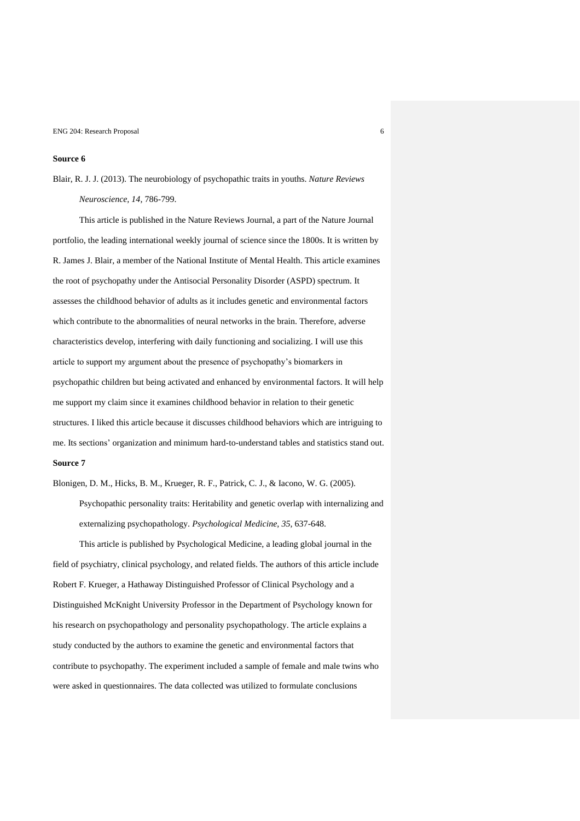# **Source 6**

Blair, R. J. J. (2013). The neurobiology of psychopathic traits in youths. *Nature Reviews Neuroscience, 14,* 786-799.

This article is published in the Nature Reviews Journal, a part of the Nature Journal portfolio, the leading international weekly journal of science since the 1800s. It is written by R. James J. Blair, a member of the National Institute of Mental Health. This article examines the root of psychopathy under the Antisocial Personality Disorder (ASPD) spectrum. It assesses the childhood behavior of adults as it includes genetic and environmental factors which contribute to the abnormalities of neural networks in the brain. Therefore, adverse characteristics develop, interfering with daily functioning and socializing. I will use this article to support my argument about the presence of psychopathy's biomarkers in psychopathic children but being activated and enhanced by environmental factors. It will help me support my claim since it examines childhood behavior in relation to their genetic structures. I liked this article because it discusses childhood behaviors which are intriguing to me. Its sections' organization and minimum hard-to-understand tables and statistics stand out. **Source 7**

Blonigen, D. M., Hicks, B. M., Krueger, R. F., Patrick, C. J., & Iacono, W. G. (2005). Psychopathic personality traits: Heritability and genetic overlap with internalizing and externalizing psychopathology. *Psychological Medicine, 35,* 637-648.

This article is published by Psychological Medicine, a leading global journal in the field of psychiatry, clinical psychology, and related fields. The authors of this article include Robert F. Krueger, a Hathaway Distinguished Professor of Clinical Psychology and a Distinguished McKnight University Professor in the Department of Psychology known for his research on psychopathology and personality psychopathology. The article explains a study conducted by the authors to examine the genetic and environmental factors that contribute to psychopathy. The experiment included a sample of female and male twins who were asked in questionnaires. The data collected was utilized to formulate conclusions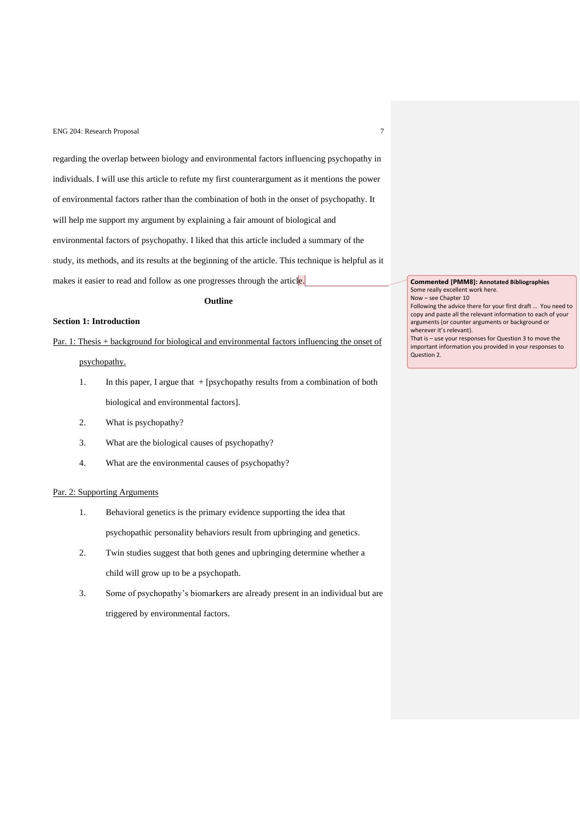regarding the overlap between biology and environmental factors influencing psychopathy in individuals. I will use this article to refute my first counterargument as it mentions the power of environmental factors rather than the combination of both in the onset of psychopathy. It will help me support my argument by explaining a fair amount of biological and environmental factors of psychopathy. I liked that this article included a summary of the study, its methods, and its results at the beginning of the article. This technique is helpful as it makes it easier to read and follow as one progresses through the article.

#### **Outline**

# **Section 1: Introduction**

Par. 1: Thesis + background for biological and environmental factors influencing the onset of psychopathy.

- 1. In this paper, I argue that + [psychopathy results from a combination of both biological and environmental factors].
- 2. What is psychopathy?
- 3. What are the biological causes of psychopathy?
- 4. What are the environmental causes of psychopathy?

# Par. 2: Supporting Arguments

- 1. Behavioral genetics is the primary evidence supporting the idea that psychopathic personality behaviors result from upbringing and genetics.
- 2. Twin studies suggest that both genes and upbringing determine whether a child will grow up to be a psychopath.
- 3. Some of psychopathy's biomarkers are already present in an individual but are triggered by environmental factors.

**Commented [PMM8]: Annotated Bibliographies** Some really excellent work here. Now – see Chapter 10

Following the advice there for your first draft … You need to copy and paste all the relevant information to each of your arguments (or counter arguments or background or wherever it's relevant).

That is – use your responses for Question 3 to move the important information you provided in your responses to Question 2.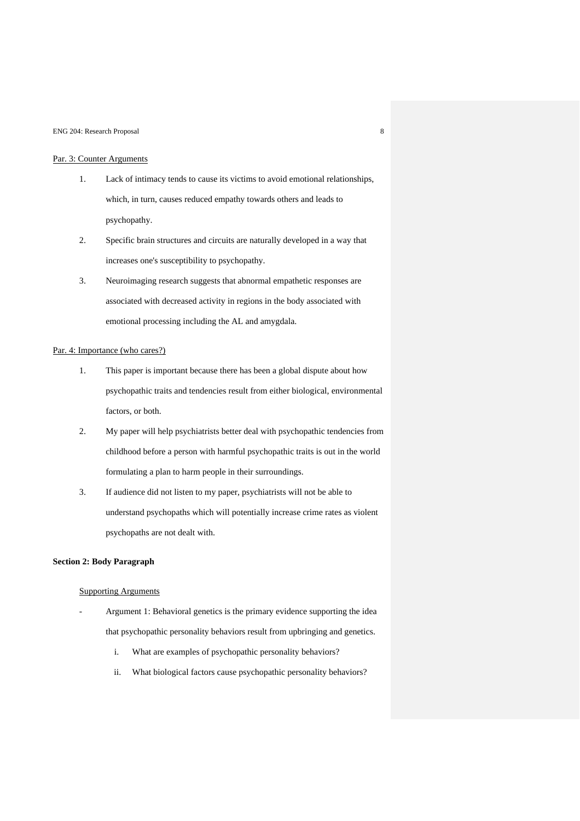## Par. 3: Counter Arguments

- 1. Lack of intimacy tends to cause its victims to avoid emotional relationships, which, in turn, causes reduced empathy towards others and leads to psychopathy.
- 2. Specific brain structures and circuits are naturally developed in a way that increases one's susceptibility to psychopathy.
- 3. Neuroimaging research suggests that abnormal empathetic responses are associated with decreased activity in regions in the body associated with emotional processing including the AL and amygdala.

# Par. 4: Importance (who cares?)

- 1. This paper is important because there has been a global dispute about how psychopathic traits and tendencies result from either biological, environmental factors, or both.
- 2. My paper will help psychiatrists better deal with psychopathic tendencies from childhood before a person with harmful psychopathic traits is out in the world formulating a plan to harm people in their surroundings.
- 3. If audience did not listen to my paper, psychiatrists will not be able to understand psychopaths which will potentially increase crime rates as violent psychopaths are not dealt with.

# **Section 2: Body Paragraph**

### Supporting Arguments

- Argument 1: Behavioral genetics is the primary evidence supporting the idea that psychopathic personality behaviors result from upbringing and genetics.
	- i. What are examples of psychopathic personality behaviors?
	- ii. What biological factors cause psychopathic personality behaviors?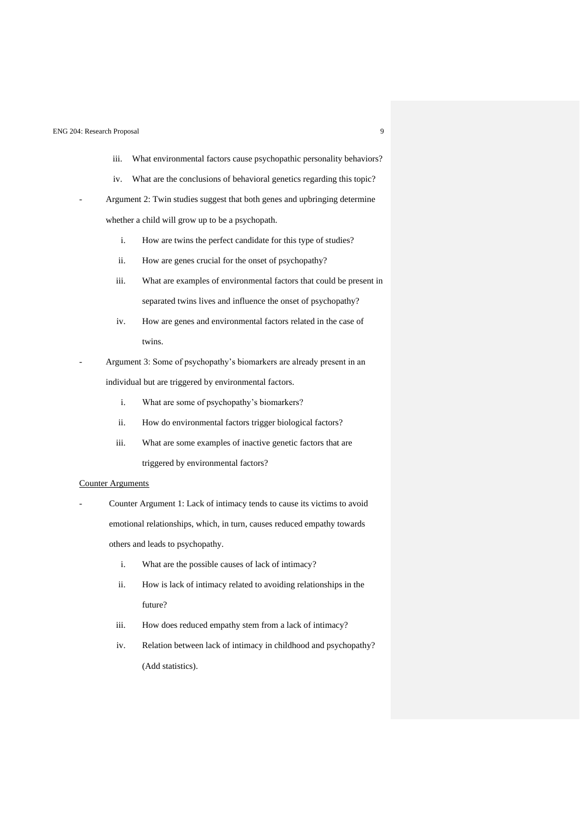- iii. What environmental factors cause psychopathic personality behaviors?
- iv. What are the conclusions of behavioral genetics regarding this topic?
- Argument 2: Twin studies suggest that both genes and upbringing determine whether a child will grow up to be a psychopath.
	- i. How are twins the perfect candidate for this type of studies?
	- ii. How are genes crucial for the onset of psychopathy?
	- iii. What are examples of environmental factors that could be present in separated twins lives and influence the onset of psychopathy?
	- iv. How are genes and environmental factors related in the case of twins.
- Argument 3: Some of psychopathy's biomarkers are already present in an individual but are triggered by environmental factors.
	- i. What are some of psychopathy's biomarkers?
	- ii. How do environmental factors trigger biological factors?
	- iii. What are some examples of inactive genetic factors that are triggered by environmental factors?

### Counter Arguments

Counter Argument 1: Lack of intimacy tends to cause its victims to avoid emotional relationships, which, in turn, causes reduced empathy towards others and leads to psychopathy.

- i. What are the possible causes of lack of intimacy?
- ii. How is lack of intimacy related to avoiding relationships in the future?
- iii. How does reduced empathy stem from a lack of intimacy?
- iv. Relation between lack of intimacy in childhood and psychopathy? (Add statistics).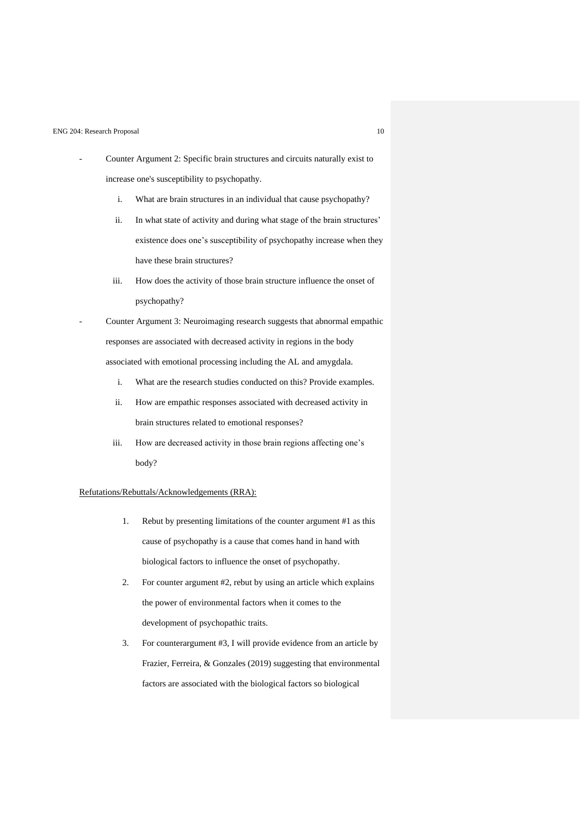- Counter Argument 2: Specific brain structures and circuits naturally exist to increase one's susceptibility to psychopathy.
	- i. What are brain structures in an individual that cause psychopathy?
	- ii. In what state of activity and during what stage of the brain structures' existence does one's susceptibility of psychopathy increase when they have these brain structures?
	- iii. How does the activity of those brain structure influence the onset of psychopathy?

- Counter Argument 3: Neuroimaging research suggests that abnormal empathic responses are associated with decreased activity in regions in the body associated with emotional processing including the AL and amygdala.

- i. What are the research studies conducted on this? Provide examples.
- ii. How are empathic responses associated with decreased activity in brain structures related to emotional responses?
- iii. How are decreased activity in those brain regions affecting one's body?

### Refutations/Rebuttals/Acknowledgements (RRA):

- 1. Rebut by presenting limitations of the counter argument #1 as this cause of psychopathy is a cause that comes hand in hand with biological factors to influence the onset of psychopathy.
- 2. For counter argument #2, rebut by using an article which explains the power of environmental factors when it comes to the development of psychopathic traits.
- 3. For counterargument #3, I will provide evidence from an article by Frazier, Ferreira, & Gonzales (2019) suggesting that environmental factors are associated with the biological factors so biological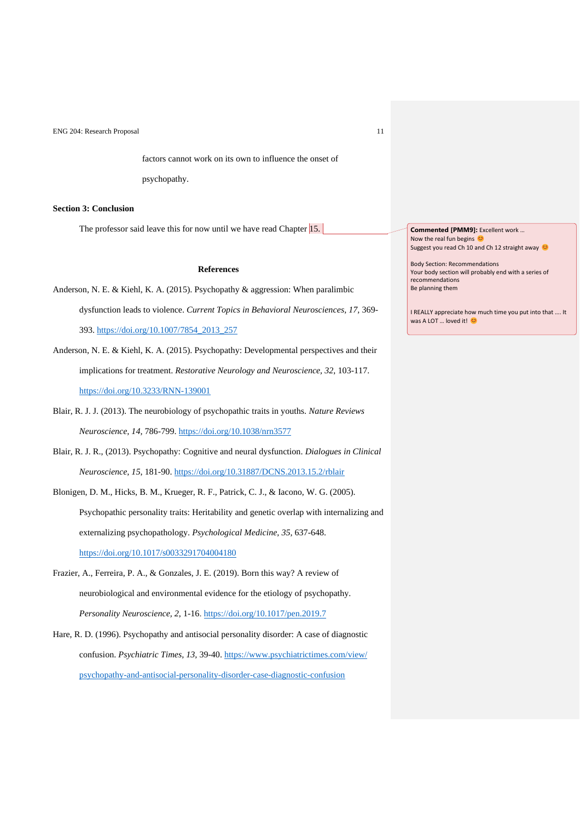factors cannot work on its own to influence the onset of

psychopathy.

# **Section 3: Conclusion**

The professor said leave this for now until we have read Chapter 15.

### **References**

- Anderson, N. E. & Kiehl, K. A. (2015). Psychopathy & aggression: When paralimbic dysfunction leads to violence. *Current Topics in Behavioral Neurosciences, 17,* 369- 393. [https://doi.org/10.1007/7854\\_2013\\_257](https://doi.org/10.1007/7854_2013_257)
- Anderson, N. E. & Kiehl, K. A. (2015). Psychopathy: Developmental perspectives and their implications for treatment. *Restorative Neurology and Neuroscience, 32*, 103-117. <https://doi.org/10.3233/RNN-139001>
- Blair, R. J. J. (2013). The neurobiology of psychopathic traits in youths. *Nature Reviews Neuroscience, 14,* 786-799.<https://doi.org/10.1038/nrn3577>
- Blair, R. J. R., (2013). Psychopathy: Cognitive and neural dysfunction. *Dialogues in Clinical Neuroscience, 15*, 181-90. <https://doi.org/10.31887/DCNS.2013.15.2/rblair>
- Blonigen, D. M., Hicks, B. M., Krueger, R. F., Patrick, C. J., & Iacono, W. G. (2005). Psychopathic personality traits: Heritability and genetic overlap with internalizing and externalizing psychopathology. *Psychological Medicine, 35,* 637-648. <https://doi.org/10.1017/s0033291704004180>
- Frazier, A., Ferreira, P. A., & Gonzales, J. E. (2019). Born this way? A review of neurobiological and environmental evidence for the etiology of psychopathy. *Personality Neuroscience, 2*, 1-16.<https://doi.org/10.1017/pen.2019.7>
- Hare, R. D. (1996). Psychopathy and antisocial personality disorder: A case of diagnostic confusion. *Psychiatric Times, 13,* 39-40. [https://www.psychiatrictimes.com/view/](https://www.psychiatrictimes.com/view/%20psychopathy-and-antisocial-personality-disorder-case-diagnostic-confusion)  [psychopathy-and-antisocial-personality-disorder-case-diagnostic-confusion](https://www.psychiatrictimes.com/view/%20psychopathy-and-antisocial-personality-disorder-case-diagnostic-confusion)

**Commented [PMM9]:** Excellent work … Now the real fun begins Suggest you read Ch 10 and Ch 12 straight away

Body Section: Recommendations

Your body section will probably end with a series of recommendations Be planning them

I REALLY appreciate how much time you put into that …. It was A LOT ... loved it!